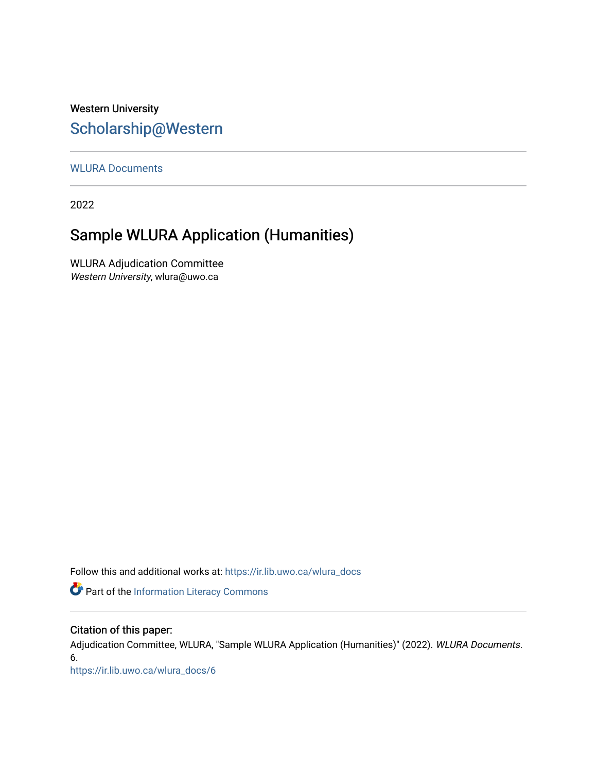## Western University [Scholarship@Western](https://ir.lib.uwo.ca/)

[WLURA Documents](https://ir.lib.uwo.ca/wlura_docs)

2022

# Sample WLURA Application (Humanities)

WLURA Adjudication Committee Western University, wlura@uwo.ca

Follow this and additional works at: [https://ir.lib.uwo.ca/wlura\\_docs](https://ir.lib.uwo.ca/wlura_docs?utm_source=ir.lib.uwo.ca%2Fwlura_docs%2F6&utm_medium=PDF&utm_campaign=PDFCoverPages) 

Part of the [Information Literacy Commons](http://network.bepress.com/hgg/discipline/1243?utm_source=ir.lib.uwo.ca%2Fwlura_docs%2F6&utm_medium=PDF&utm_campaign=PDFCoverPages)

## Citation of this paper:

Adjudication Committee, WLURA, "Sample WLURA Application (Humanities)" (2022). WLURA Documents. 6.

[https://ir.lib.uwo.ca/wlura\\_docs/6](https://ir.lib.uwo.ca/wlura_docs/6?utm_source=ir.lib.uwo.ca%2Fwlura_docs%2F6&utm_medium=PDF&utm_campaign=PDFCoverPages)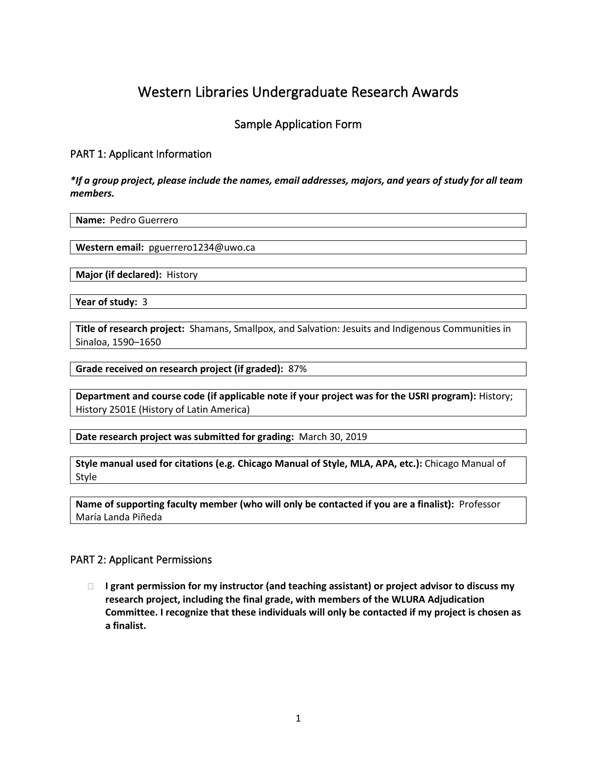## Western Libraries Undergraduate Research Awards

## Sample Application Form

## PART 1: Applicant Information

*\*If a group project, please include the names, email addresses, majors, and years of study for all team members.*

**Name:** Pedro Guerrero

**Western email:** pguerrero1234@uwo.ca

**Major (if declared):** History

**Year of study:** 3

**Title of research project:** Shamans, Smallpox, and Salvation: Jesuits and Indigenous Communities in Sinaloa, 1590–1650

**Grade received on research project (if graded):** 87%

**Department and course code (if applicable note if your project was for the USRI program):** History; History 2501E (History of Latin America)

**Date research project was submitted for grading:** March 30, 2019

**Style manual used for citations (e.g. Chicago Manual of Style, MLA, APA, etc.):** Chicago Manual of Style

**Name of supporting faculty member (who will only be contacted if you are a finalist):** Professor María Landa Piñeda

#### PART 2: Applicant Permissions

 **I grant permission for my instructor (and teaching assistant) or project advisor to discuss my research project, including the final grade, with members of the WLURA Adjudication Committee. I recognize that these individuals will only be contacted if my project is chosen as a finalist.**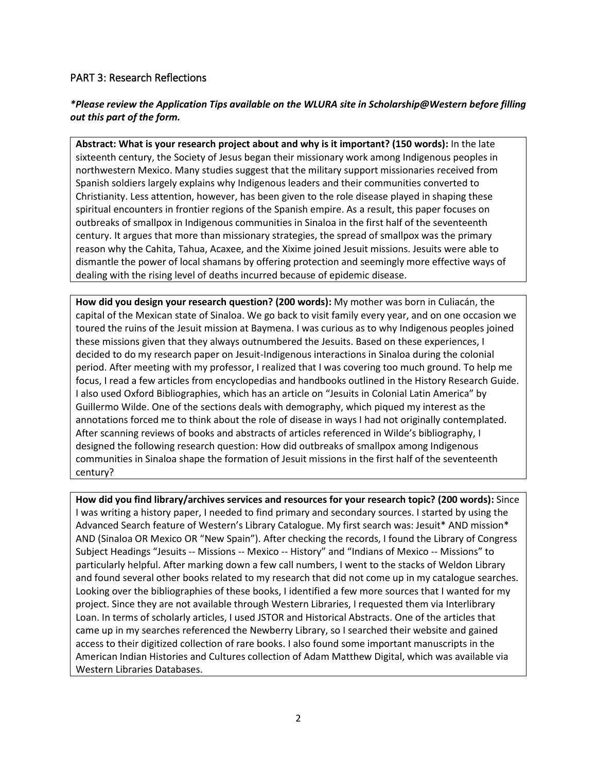### PART 3: Research Reflections

## *\*Please review the Application Tips available on the WLURA site in Scholarship@Western before filling out this part of the form.*

**Abstract: What is your research project about and why is it important? (150 words):** In the late sixteenth century, the Society of Jesus began their missionary work among Indigenous peoples in northwestern Mexico. Many studies suggest that the military support missionaries received from Spanish soldiers largely explains why Indigenous leaders and their communities converted to Christianity. Less attention, however, has been given to the role disease played in shaping these spiritual encounters in frontier regions of the Spanish empire. As a result, this paper focuses on outbreaks of smallpox in Indigenous communities in Sinaloa in the first half of the seventeenth century. It argues that more than missionary strategies, the spread of smallpox was the primary reason why the Cahita, Tahua, Acaxee, and the Xixime joined Jesuit missions. Jesuits were able to dismantle the power of local shamans by offering protection and seemingly more effective ways of dealing with the rising level of deaths incurred because of epidemic disease.

**How did you design your research question? (200 words):** My mother was born in Culiacán, the capital of the Mexican state of Sinaloa. We go back to visit family every year, and on one occasion we toured the ruins of the Jesuit mission at Baymena. I was curious as to why Indigenous peoples joined these missions given that they always outnumbered the Jesuits. Based on these experiences, I decided to do my research paper on Jesuit-Indigenous interactions in Sinaloa during the colonial period. After meeting with my professor, I realized that I was covering too much ground. To help me focus, I read a few articles from encyclopedias and handbooks outlined in the History Research Guide. I also used Oxford Bibliographies, which has an article on "Jesuits in Colonial Latin America" by Guillermo Wilde. One of the sections deals with demography, which piqued my interest as the annotations forced me to think about the role of disease in ways I had not originally contemplated. After scanning reviews of books and abstracts of articles referenced in Wilde's bibliography, I designed the following research question: How did outbreaks of smallpox among Indigenous communities in Sinaloa shape the formation of Jesuit missions in the first half of the seventeenth century?

**How did you find library/archives services and resources for your research topic? (200 words):** Since I was writing a history paper, I needed to find primary and secondary sources. I started by using the Advanced Search feature of Western's Library Catalogue. My first search was: Jesuit\* AND mission\* AND (Sinaloa OR Mexico OR "New Spain"). After checking the records, I found the Library of Congress Subject Headings "Jesuits -- Missions -- Mexico -- History" and "Indians of Mexico -- Missions" to particularly helpful. After marking down a few call numbers, I went to the stacks of Weldon Library and found several other books related to my research that did not come up in my catalogue searches. Looking over the bibliographies of these books, I identified a few more sources that I wanted for my project. Since they are not available through Western Libraries, I requested them via Interlibrary Loan. In terms of scholarly articles, I used JSTOR and Historical Abstracts. One of the articles that came up in my searches referenced the Newberry Library, so I searched their website and gained access to their digitized collection of rare books. I also found some important manuscripts in the American Indian Histories and Cultures collection of Adam Matthew Digital, which was available via Western Libraries Databases.